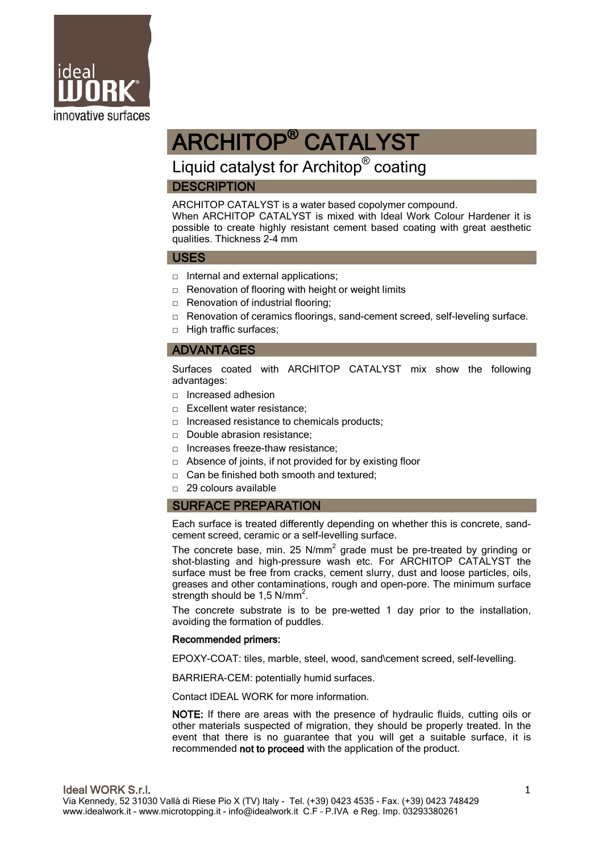

# ARCHITOP® CATALYST

## Liquid catalyst for Architop<sup>®</sup> coating

## **DESCRIPTION**

ARCHITOP CATALYST is a water based copolymer compound. When ARCHITOP CATALYST is mixed with Ideal Work Colour Hardener it is

possible to create highly resistant cement based coating with great aesthetic qualities. Thickness 2-4 mm

#### USES

- □ Internal and external applications;
- $\Box$  Renovation of flooring with height or weight limits
- $\Box$  Renovation of industrial flooring;
- □ Renovation of ceramics floorings, sand-cement screed, self-leveling surface.
- □ High traffic surfaces:

## ADVANTAGES

Surfaces coated with ARCHITOP CATALYST mix show the following advantages:

- □ Increased adhesion
- □ Excellent water resistance:
- □ Increased resistance to chemicals products;
- □ Double abrasion resistance;
- □ Increases freeze-thaw resistance;
- □ Absence of joints, if not provided for by existing floor
- $\Box$  Can be finished both smooth and textured:
- □ 29 colours available

### SURFACE PREPARATION

Each surface is treated differently depending on whether this is concrete, sandcement screed, ceramic or a self-levelling surface.

The concrete base, min. 25  $N/mm^2$  grade must be pre-treated by grinding or shot-blasting and high-pressure wash etc. For ARCHITOP CATALYST the surface must be free from cracks, cement slurry, dust and loose particles, oils, greases and other contaminations, rough and open-pore. The minimum surface strength should be 1,5 N/mm $^2$ .

The concrete substrate is to be pre-wetted 1 day prior to the installation, avoiding the formation of puddles.

#### Recommended primers:

EPOXY-COAT: tiles, marble, steel, wood, sand\cement screed, self-levelling.

BARRIERA-CEM: potentially humid surfaces.

Contact IDEAL WORK for more information.

. NOTE: If there are areas with the presence of hydraulic fluids, cutting oils or other materials suspected of migration, they should be properly treated. In the event that there is no guarantee that you will get a suitable surface, it is recommended not to proceed with the application of the product.